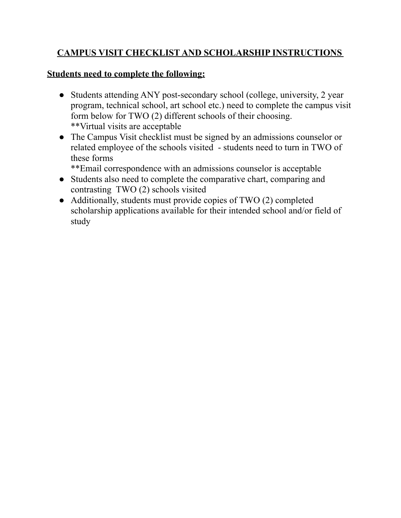## **CAMPUS VISIT CHECKLIST AND SCHOLARSHIP INSTRUCTIONS**

### **Students need to complete the following:**

- Students attending ANY post-secondary school (college, university, 2 year program, technical school, art school etc.) need to complete the campus visit form below for TWO (2) different schools of their choosing. \*\*Virtual visits are acceptable
- The Campus Visit checklist must be signed by an admissions counselor or related employee of the schools visited - students need to turn in TWO of these forms

\*\*Email correspondence with an admissions counselor is acceptable

- Students also need to complete the comparative chart, comparing and contrasting TWO (2) schools visited
- Additionally, students must provide copies of TWO (2) completed scholarship applications available for their intended school and/or field of study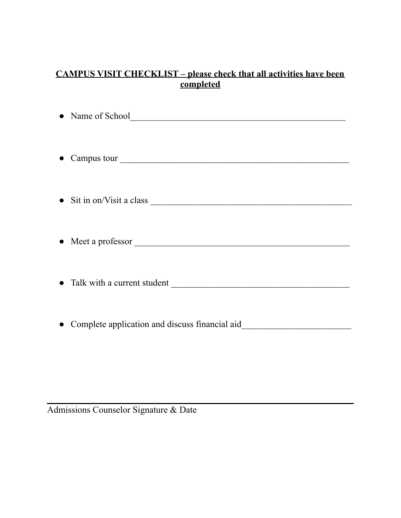## **CAMPUS VISIT CHECKLIST – please check that all activities have been completed**

| • Campus tour                                                                    |
|----------------------------------------------------------------------------------|
|                                                                                  |
|                                                                                  |
|                                                                                  |
| • Complete application and discuss financial aid________________________________ |

Admissions Counselor Signature & Date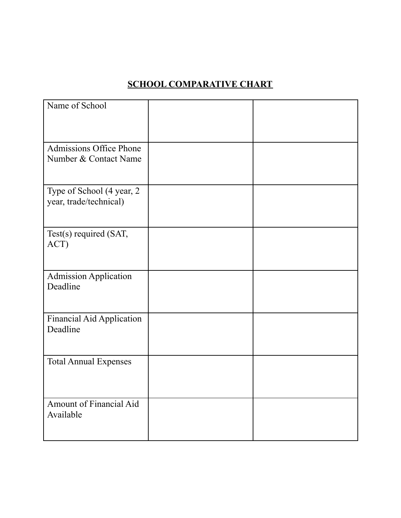# **SCHOOL COMPARATIVE CHART**

| Name of School                                       |  |
|------------------------------------------------------|--|
| Admissions Office Phone<br>Number & Contact Name     |  |
| Type of School (4 year, 2)<br>year, trade/technical) |  |
| Test(s) required (SAT,<br>ACT)                       |  |
| Admission Application<br>Deadline                    |  |
| Financial Aid Application<br>Deadline                |  |
| <b>Total Annual Expenses</b>                         |  |
| Amount of Financial Aid<br>Available                 |  |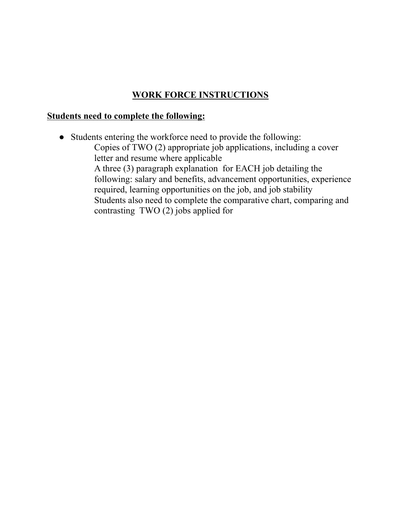## **WORK FORCE INSTRUCTIONS**

#### **Students need to complete the following:**

● Students entering the workforce need to provide the following: Copies of TWO (2) appropriate job applications, including a cover letter and resume where applicable A three (3) paragraph explanation for EACH job detailing the following: salary and benefits, advancement opportunities, experience required, learning opportunities on the job, and job stability Students also need to complete the comparative chart, comparing and contrasting TWO (2) jobs applied for